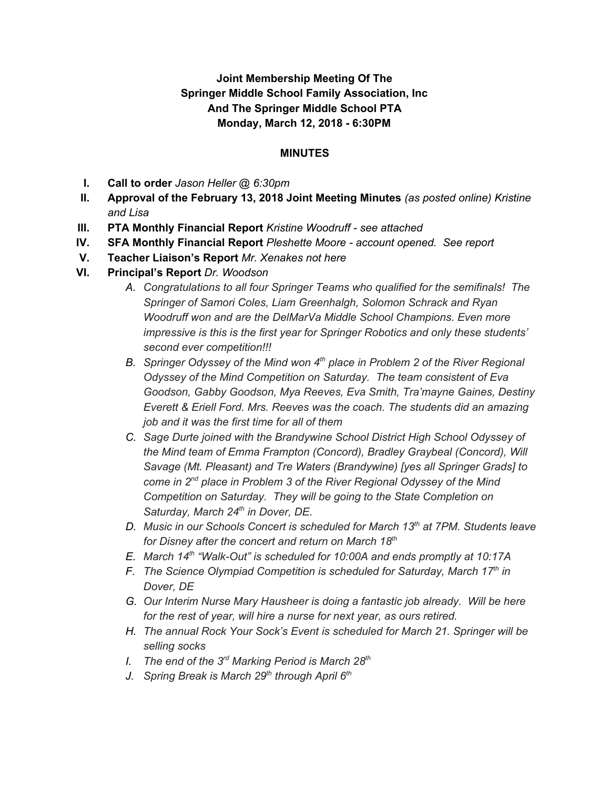## **Joint Membership Meeting Of The Springer Middle School Family Association, Inc And The Springer Middle School PTA Monday, March 12, 2018 - 6:30PM**

#### **MINUTES**

- **I. Call to order** *Jason Heller @ 6:30pm*
- **II. Approval of the February 13, 2018 Joint Meeting Minutes** *(as posted online) Kristine and Lisa*
- **III. PTA Monthly Financial Report** *Kristine Woodruff - see attached*
- **IV. SFA Monthly Financial Report** *Pleshette Moore - account opened. See report*
- **V. Teacher Liaison's Report** *Mr. Xenakes not here*
- **VI. Principal's Report** *Dr. Woodson*
	- *A. Congratulations to all four Springer Teams who qualified for the semifinals! The Springer of Samori Coles, Liam Greenhalgh, Solomon Schrack and Ryan Woodruff won and are the DelMarVa Middle School Champions. Even more impressive is this is the first year for Springer Robotics and only these students' second ever competition!!!*
	- *B. Springer Odyssey of the Mind won 4 th place in Problem 2 of the River Regional Odyssey of the Mind Competition on Saturday. The team consistent of Eva Goodson, Gabby Goodson, Mya Reeves, Eva Smith, Tra'mayne Gaines, Destiny Everett & Eriell Ford. Mrs. Reeves was the coach. The students did an amazing job and it was the first time for all of them*
	- *C. Sage Durte joined with the Brandywine School District High School Odyssey of the Mind team of Emma Frampton (Concord), Bradley Graybeal (Concord), Will Savage (Mt. Pleasant) and Tre Waters (Brandywine) [yes all Springer Grads] to come in 2 nd place in Problem 3 of the River Regional Odyssey of the Mind Competition on Saturday. They will be going to the State Completion on Saturday, March 24 th in Dover, DE.*
	- *D. Music in our Schools Concert is scheduled for March 13 th at 7PM. Students leave for Disney after the concert and return on March 18 th*
	- *E. March 14 th "Walk-Out" is scheduled for 10:00A and ends promptly at 10:17A*
	- *F. The Science Olympiad Competition is scheduled for Saturday, March 17 th in Dover, DE*
	- *G. Our Interim Nurse Mary Hausheer is doing a fantastic job already. Will be here for the rest of year, will hire a nurse for next year, as ours retired.*
	- *H. The annual Rock Your Sock's Event is scheduled for March 21. Springer will be selling socks*
	- *I. The end of the 3 rd Marking Period is March 28 th*
	- *J. Spring Break is March 29 th through April 6 th*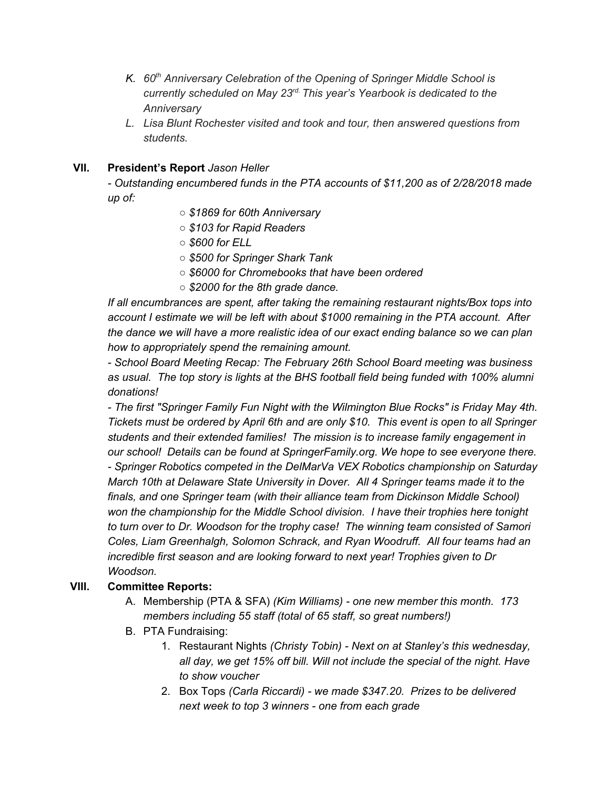- *K. 60 th Anniversary Celebration of the Opening of Springer Middle School is currently scheduled on May 23 rd. This year's Yearbook is dedicated to the Anniversary*
- *L. Lisa Blunt Rochester visited and took and tour, then answered questions from students.*

### **VII. President's Report** *Jason Heller*

*- Outstanding encumbered funds in the PTA accounts of \$11,200 as of 2/28/2018 made up of:*

- *○ \$1869 for 60th Anniversary*
- *○ \$103 for Rapid Readers*
- *○ \$600 for ELL*
- *○ \$500 for Springer Shark Tank*
- *○ \$6000 for Chromebooks that have been ordered*
- *○ \$2000 for the 8th grade dance.*

*If all encumbrances are spent, after taking the remaining restaurant nights/Box tops into account I estimate we will be left with about \$1000 remaining in the PTA account. After the dance we will have a more realistic idea of our exact ending balance so we can plan how to appropriately spend the remaining amount.*

*- School Board Meeting Recap: The February 26th School Board meeting was business as usual. The top story is lights at the BHS football field being funded with 100% alumni donations!*

*- The first "Springer Family Fun Night with the Wilmington Blue Rocks" is Friday May 4th. Tickets must be ordered by April 6th and are only \$10. This event is open to all Springer students and their extended families! The mission is to increase family engagement in our school! Details can be found at SpringerFamily.org. We hope to see everyone there. - Springer Robotics competed in the DelMarVa VEX Robotics championship on Saturday March 10th at Delaware State University in Dover. All 4 Springer teams made it to the finals, and one Springer team (with their alliance team from Dickinson Middle School) won the championship for the Middle School division. I have their trophies here tonight to turn over to Dr. Woodson for the trophy case! The winning team consisted of Samori Coles, Liam Greenhalgh, Solomon Schrack, and Ryan Woodruff. All four teams had an incredible first season and are looking forward to next year! Trophies given to Dr Woodson.*

### **VIII. Committee Reports:**

- A. Membership (PTA & SFA) *(Kim Williams) - one new member this month. 173 members including 55 staff (total of 65 staff, so great numbers!)*
- B. PTA Fundraising:
	- 1. Restaurant Nights *(Christy Tobin) - Next on at Stanley's this wednesday, all day, we get 15% off bill. Will not include the special of the night. Have to show voucher*
	- 2. Box Tops *(Carla Riccardi) - we made \$347.20. Prizes to be delivered next week to top 3 winners - one from each grade*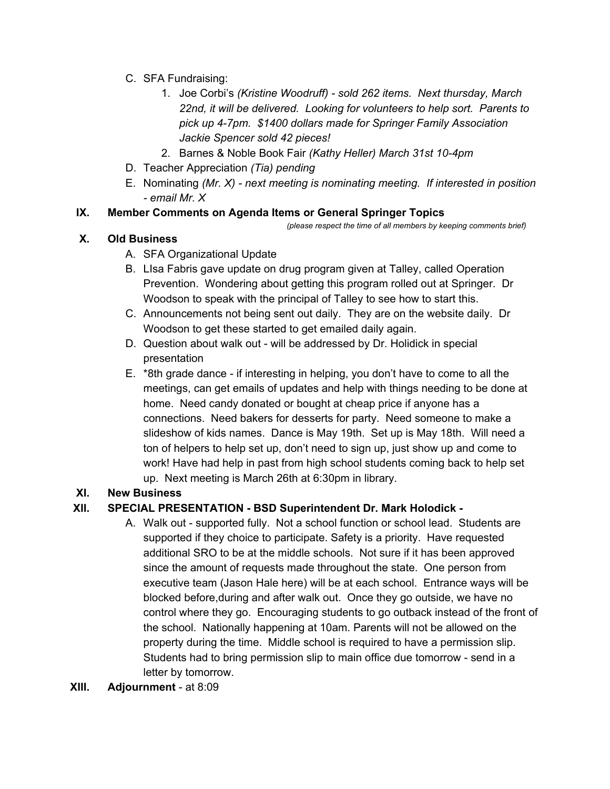- C. SFA Fundraising:
	- 1. Joe Corbi's *(Kristine Woodruff) - sold 262 items. Next thursday, March 22nd, it will be delivered. Looking for volunteers to help sort. Parents to pick up 4-7pm. \$1400 dollars made for Springer Family Association Jackie Spencer sold 42 pieces!*
	- 2. Barnes & Noble Book Fair *(Kathy Heller) March 31st 10-4pm*
- D. Teacher Appreciation *(Tia) pending*
- E. Nominating *(Mr. X) - next meeting is nominating meeting. If interested in position - email Mr. X*

### **IX. Member Comments on Agenda Items or General Springer Topics**

*(please respect the time of all members by keeping comments brief)*

### **X. Old Business**

- A. SFA Organizational Update
- B. LIsa Fabris gave update on drug program given at Talley, called Operation Prevention. Wondering about getting this program rolled out at Springer. Dr Woodson to speak with the principal of Talley to see how to start this.
- C. Announcements not being sent out daily. They are on the website daily. Dr Woodson to get these started to get emailed daily again.
- D. Question about walk out will be addressed by Dr. Holidick in special presentation
- E. \*8th grade dance if interesting in helping, you don't have to come to all the meetings, can get emails of updates and help with things needing to be done at home. Need candy donated or bought at cheap price if anyone has a connections. Need bakers for desserts for party. Need someone to make a slideshow of kids names. Dance is May 19th. Set up is May 18th. Will need a ton of helpers to help set up, don't need to sign up, just show up and come to work! Have had help in past from high school students coming back to help set up. Next meeting is March 26th at 6:30pm in library.

### **XI. New Business**

# **XII. SPECIAL PRESENTATION - BSD Superintendent Dr. Mark Holodick -**

- A. Walk out supported fully. Not a school function or school lead. Students are supported if they choice to participate. Safety is a priority. Have requested additional SRO to be at the middle schools. Not sure if it has been approved since the amount of requests made throughout the state. One person from executive team (Jason Hale here) will be at each school. Entrance ways will be blocked before,during and after walk out. Once they go outside, we have no control where they go. Encouraging students to go outback instead of the front of the school. Nationally happening at 10am. Parents will not be allowed on the property during the time. Middle school is required to have a permission slip. Students had to bring permission slip to main office due tomorrow - send in a letter by tomorrow.
- **XIII. Adjournment** at 8:09